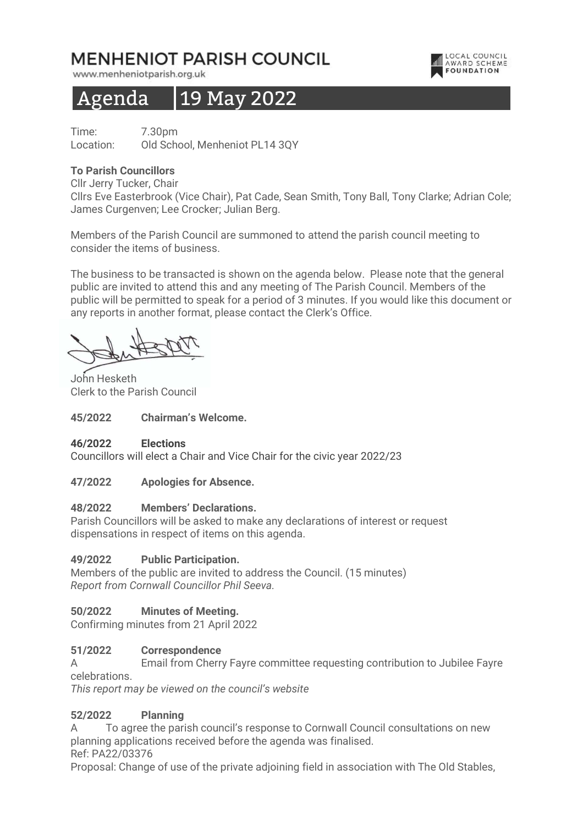# MENHENIOT PARISH COUNCIL

www.menheniotparish.org.uk

# Agenda 19 May 2022

Time: 7.30pm Location: Old School, Menheniot PL14 3QY

## To Parish Councillors

Cllr Jerry Tucker, Chair

Cllrs Eve Easterbrook (Vice Chair), Pat Cade, Sean Smith, Tony Ball, Tony Clarke; Adrian Cole; James Curgenven; Lee Crocker; Julian Berg.

LOCAL COUNCIL<br>AWARD SCHEME

**FOUNDATION** 

Members of the Parish Council are summoned to attend the parish council meeting to consider the items of business.

The business to be transacted is shown on the agenda below. Please note that the general public are invited to attend this and any meeting of The Parish Council. Members of the public will be permitted to speak for a period of 3 minutes. If you would like this document or any reports in another format, please contact the Clerk's Office.

John Hesketh Clerk to the Parish Council

#### 45/2022 Chairman's Welcome.

#### 46/2022 Elections

Councillors will elect a Chair and Vice Chair for the civic year 2022/23

#### 47/2022 Apologies for Absence.

#### 48/2022 Members' Declarations.

Parish Councillors will be asked to make any declarations of interest or request dispensations in respect of items on this agenda.

#### 49/2022 Public Participation.

Members of the public are invited to address the Council. (15 minutes) Report from Cornwall Councillor Phil Seeva.

### 50/2022 Minutes of Meeting.

Confirming minutes from 21 April 2022

### 51/2022 Correspondence

A Email from Cherry Fayre committee requesting contribution to Jubilee Fayre celebrations.

This report may be viewed on the council's website

### 52/2022 Planning

A To agree the parish council's response to Cornwall Council consultations on new planning applications received before the agenda was finalised. Ref: PA22/03376

Proposal: Change of use of the private adjoining field in association with The Old Stables,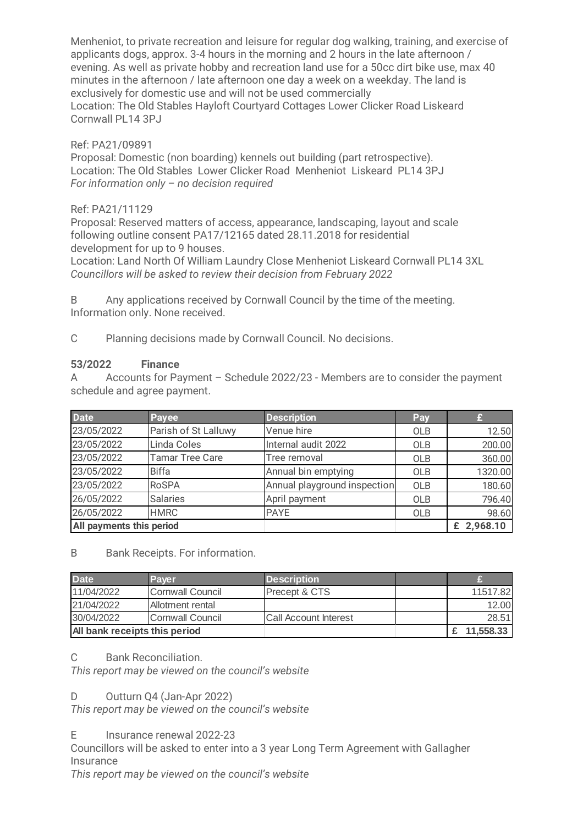Menheniot, to private recreation and leisure for regular dog walking, training, and exercise of applicants dogs, approx. 3-4 hours in the morning and 2 hours in the late afternoon / evening. As well as private hobby and recreation land use for a 50cc dirt bike use, max 40 minutes in the afternoon / late afternoon one day a week on a weekday. The land is exclusively for domestic use and will not be used commercially Location: The Old Stables Hayloft Courtyard Cottages Lower Clicker Road Liskeard Cornwall PL14 3PJ

### Ref: PA21/09891

Proposal: Domestic (non boarding) kennels out building (part retrospective). Location: The Old Stables Lower Clicker Road Menheniot Liskeard PL14 3PJ For information only  $-$  no decision required

## Ref: PA21/11129

Proposal: Reserved matters of access, appearance, landscaping, layout and scale following outline consent PA17/12165 dated 28.11.2018 for residential development for up to 9 houses.

Location: Land North Of William Laundry Close Menheniot Liskeard Cornwall PL14 3XL Councillors will be asked to review their decision from February 2022

B Any applications received by Cornwall Council by the time of the meeting. Information only. None received.

C Planning decisions made by Cornwall Council. No decisions.

### 53/2022 Finance

A Accounts for Payment – Schedule 2022/23 - Members are to consider the payment schedule and agree payment.

| <b>Date</b>              | <b>Payee</b>           | <b>Description</b>           | Pay        |            |
|--------------------------|------------------------|------------------------------|------------|------------|
| 23/05/2022               | Parish of St Lalluwy   | Venue hire                   | <b>OLB</b> | 12.50      |
| 23/05/2022               | Linda Coles            | Internal audit 2022          | <b>OLB</b> | 200.00     |
| 23/05/2022               | <b>Tamar Tree Care</b> | Tree removal                 | OLB        | 360.00     |
| 23/05/2022               | <b>Biffa</b>           | Annual bin emptying          | <b>OLB</b> | 1320.00    |
| 23/05/2022               | <b>RoSPA</b>           | Annual playground inspection | OLB        | 180.60     |
| 26/05/2022               | <b>Salaries</b>        | April payment                | OLB        | 796.40     |
| 26/05/2022               | <b>HMRC</b>            | <b>PAYE</b>                  | OLB        | 98.60      |
| All payments this period |                        |                              |            | £ 2,968.10 |

### B Bank Receipts. For information.

| <b>Date</b>                   | Payer                   | <b>Description</b>           |           |
|-------------------------------|-------------------------|------------------------------|-----------|
| 11/04/2022                    | <b>Cornwall Council</b> | <b>Precept &amp; CTS</b>     | 11517.82  |
| 21/04/2022                    | Allotment rental        |                              | 12.00     |
| 30/04/2022                    | Cornwall Council        | <b>Call Account Interest</b> | 28.51     |
| All bank receipts this period |                         |                              | 11,558,33 |

### C Bank Reconciliation.

This report may be viewed on the council's website

### D Outturn Q4 (Jan-Apr 2022)

This report may be viewed on the council's website

E Insurance renewal 2022-23

Councillors will be asked to enter into a 3 year Long Term Agreement with Gallagher **Insurance** 

This report may be viewed on the council's website